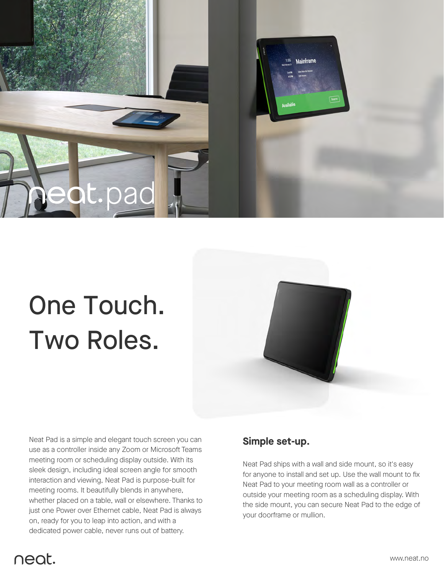

# One Touch. Two Roles.



Neat Pad is a simple and elegant touch screen you can use as a controller inside any Zoom or Microsoft Teams meeting room or scheduling display outside. With its sleek design, including ideal screen angle for smooth interaction and viewing, Neat Pad is purpose-built for meeting rooms. It beautifully blends in anywhere, whether placed on a table, wall or elsewhere. Thanks to just one Power over Ethernet cable, Neat Pad is always on, ready for you to leap into action, and with a dedicated power cable, never runs out of battery.

#### **Simple set-up.**

Neat Pad ships with a wall and side mount, so it's easy for anyone to install and set up. Use the wall mount to fix Neat Pad to your meeting room wall as a controller or outside your meeting room as a scheduling display. With the side mount, you can secure Neat Pad to the edge of your doorframe or mullion.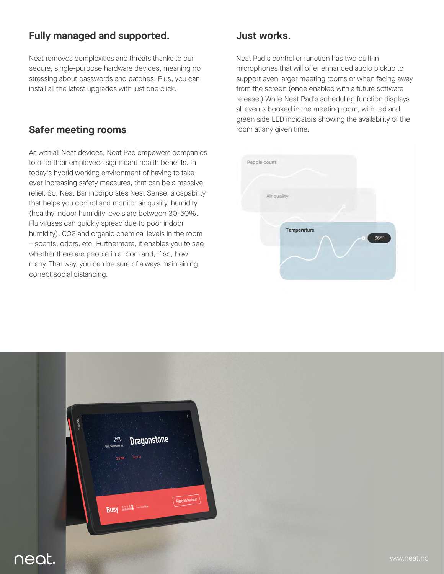# **Fully managed and supported.**

Neat removes complexities and threats thanks to our secure, single-purpose hardware devices, meaning no stressing about passwords and patches. Plus, you can install all the latest upgrades with just one click.

## **Safer meeting rooms**

As with all Neat devices, Neat Pad empowers companies to offer their employees significant health benefits. In today's hybrid working environment of having to take ever-increasing safety measures, that can be a massive relief. So, Neat Bar incorporates Neat Sense, a capability that helps you control and monitor air quality, humidity (healthy indoor humidity levels are between 30-50%. Flu viruses can quickly spread due to poor indoor humidity), CO2 and organic chemical levels in the room – scents, odors, etc. Furthermore, it enables you to see whether there are people in a room and, if so, how many. That way, you can be sure of always maintaining correct social distancing.

#### **Just works.**

Neat Pad's controller function has two built-in microphones that will offer enhanced audio pickup to support even larger meeting rooms or when facing away from the screen (once enabled with a future software release.) While Neat Pad's scheduling function displays all events booked in the meeting room, with red and green side LED indicators showing the availability of the room at any given time.